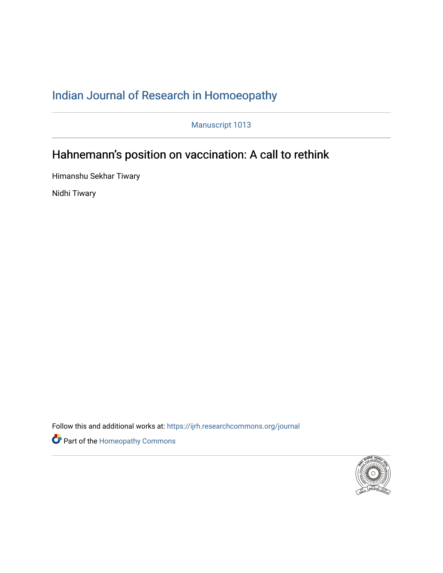# [Indian Journal of Research in Homoeopathy](https://ijrh.researchcommons.org/journal)

Manuscript 1013

# Hahnemann's position on vaccination: A call to rethink

Himanshu Sekhar Tiwary

Nidhi Tiwary

Follow this and additional works at: https://ijrh.researchcommons.org/journal



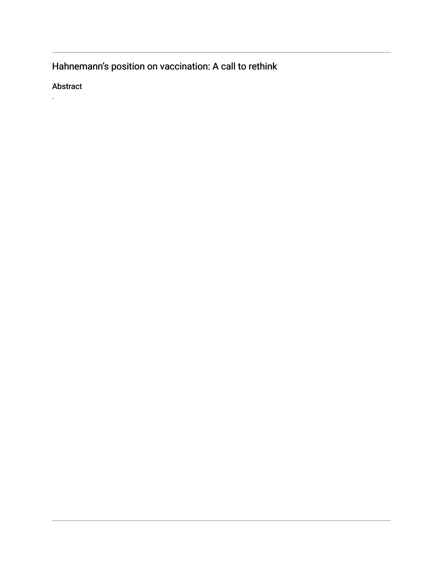Hahnemann's position on vaccination: A call to rethink

Abstract

.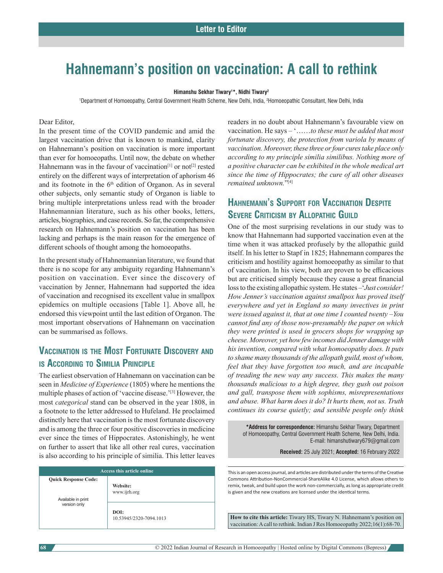# **Hahnemann's position on vaccination: A call to rethink**

#### **Himanshu Sekhar Tiwary1 \*, Nidhi Tiwary2**

1 Department of Homoeopathy, Central Government Health Scheme, New Delhi, India, 2 Homoeopathic Consultant, New Delhi, India

#### Dear Editor,

In the present time of the COVID pandemic and amid the largest vaccination drive that is known to mankind, clarity on Hahnemann's position on vaccination is more important than ever for homoeopaths. Until now, the debate on whether Hahnemann was in the favour of vaccination<sup>[1]</sup> or not<sup>[2]</sup> rested entirely on the different ways of interpretation of aphorism 46 and its footnote in the  $6<sup>th</sup>$  edition of Organon. As in several other subjects, only semantic study of Organon is liable to bring multiple interpretations unless read with the broader Hahnemannian literature, such as his other books, letters, articles, biographies, and case records. So far, the comprehensive research on Hahnemann's position on vaccination has been lacking and perhaps is the main reason for the emergence of different schools of thought among the homoeopaths.

In the present study of Hahnemannian literature, we found that there is no scope for any ambiguity regarding Hahnemann's position on vaccination. Ever since the discovery of vaccination by Jenner, Hahnemann had supported the idea of vaccination and recognised its excellent value in smallpox epidemics on multiple occasions [Table 1]. Above all, he endorsed this viewpoint until the last edition of Organon. The most important observations of Hahnemann on vaccination can be summarised as follows.

# **Vaccination is the Most Fortunate Discovery and is According to Similia Principle**

The earliest observation of Hahnemann on vaccination can be seen in *Medicine of Experience* (1805) where he mentions the multiple phases of action of 'vaccine disease.'[3] However, the most *categorical* stand can be observed in the year 1808, in a footnote to the letter addressed to Hufeland. He proclaimed distinctly here that vaccination is the most fortunate discovery and is among the three or four positive discoveries in medicine ever since the times of Hippocrates. Astonishingly, he went on further to assert that like all other real cures, vaccination is also according to his principle of similia. This letter leaves

| Access this article online         |                                 |
|------------------------------------|---------------------------------|
| <b>Quick Response Code:</b>        | Website:<br>www.ijrh.org        |
| Available in print<br>version only | DOI:<br>10.53945/2320-7094.1013 |

readers in no doubt about Hahnemann's favourable view on vaccination. He says – '……*to these must be added that most fortunate discovery, the protection from variola by means of vaccination. Moreover, these three or four cures take place only according to my principle similia similibus. Nothing more of a positive character can be exhibited in the whole medical art since the time of Hippocrates; the cure of all other diseases remained unknown.*"[4]

## **Hahnemann's Support for Vaccination Despite Severe Criticism by Allopathic Guild**

One of the most surprising revelations in our study was to know that Hahnemann had supported vaccination even at the time when it was attacked profusely by the allopathic guild itself. In his letter to Stapf in 1825; Hahnemann compares the criticism and hostility against homoeopathy as similar to that of vaccination. In his view, both are proven to be efficacious but are criticised simply because they cause a great financial loss to the existing allopathic system. He states –'*Just consider! How Jenner's vaccination against smallpox has proved itself everywhere and yet in England so many invectives in print were issued against it, that at one time I counted twenty –You cannot find any of those now-presumably the paper on which they were printed is used in grocers shops for wrapping up cheese. Moreover, yet how few incomes did Jenner damage with his invention, compared with what homoeopathy does. It puts to shame many thousands of the allopath guild, most of whom, feel that they have forgotten too much, and are incapable of treading the new way any success. This makes the many thousands malicious to a high degree, they gush out poison and gall, transpose them with sophisms, misrepresentations and abuse. What harm does it do? It hurts them, not us. Truth continues its course quietly; and sensible people only think* 

**\*Address for correspondence:** Himanshu Sekhar Tiwary, Department of Homoeopathy, Central Government Health Scheme, New Delhi, India. E-mail: himanshutiwary679@gmail.com

**Received:** 25 July 2021; **Accepted:** 16 February 2022

This is an open access journal, and articles are distributed under the terms of the Creative Commons Attribution-NonCommercial-ShareAlike 4.0 License, which allows others to remix, tweak, and build upon the work non-commercially, as long as appropriate credit is given and the new creations are licensed under the identical terms.

**How to cite this article:** Tiwary HS, Tiwary N. Hahnemann's position on vaccination:Acall to rethink. Indian J Res Homoeopathy 2022;16(1):68-70.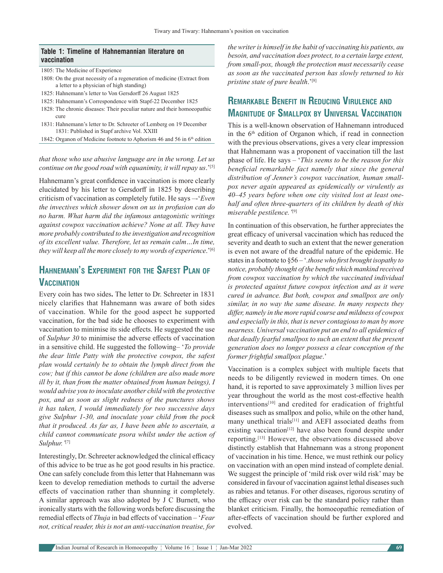#### **Table 1: Timeline of Hahnemannian literature on vaccination**

1805: The Medicine of Experience

- 1808: On the great necessity of a regeneration of medicine (Extract from a letter to a physician of high standing)
- 1825: Hahnemann's letter to Von Gersdorff 26 August 1825
- 1825: Hahnemann's Correspondence with Stapf‑22 December 1825
- 1828: The chronic diseases: Their peculiar nature and their homoeopathic cure
- 1831: Hahnemann's letter to Dr. Schreeter of Lemberg on 19 December 1831: Published in Stapf archive Vol. XXIII
- 1842: Organon of Medicine footnote to Aphorism 46 and 56 in 6<sup>th</sup> edition

*that those who use abusive language are in the wrong. Let us continue on the good road with equanimity, it will repay us.*<sup>'[5]</sup>

Hahnemann's great confidence in vaccination is more clearly elucidated by his letter to Gersdorff in 1825 by describing criticism of vaccination as completely futile. He says –-'*Even the invectives which shower down on us in profusion can do no harm. What harm did the infamous antagonistic writings against cowpox vaccination achieve? None at all. They have more probably contributed to the investigation and recognition of its excellent value. Therefore, let us remain calm…In time,*  they will keep all the more closely to my words of experience.'<sup>[6]</sup>

## **Hahnemann's Experiment for the Safest Plan of Vaccination**

Every coin has two sides**.** The letter to Dr. Schreeter in 1831 nicely clarifies that Hahnemann was aware of both sides of vaccination. While for the good aspect he supported vaccination, for the bad side he chooses to experiment with vaccination to minimise its side effects. He suggested the use of *Sulphur 30* to minimise the adverse effects of vaccination in a sensitive child. He suggested the following– '*To provide the dear little Patty with the protective cowpox, the safest plan would certainly be to obtain the lymph direct from the cow; but if this cannot be done (children are also made more ill by it, than from the matter obtained from human beings), I would advise you to inoculate another child with the protective pox, and as soon as slight redness of the punctures shows it has taken, I would immediately for two successive days give Sulphur 1-30, and inoculate your child from the pock that it produced. As far as, I have been able to ascertain, a child cannot communicate psora whilst under the action of Sulphur.'*[7]

Interestingly, Dr. Schreeter acknowledged the clinical efficacy of this advice to be true as he got good results in his practice. One can safely conclude from this letter that Hahnemann was keen to develop remediation methods to curtail the adverse effects of vaccination rather than shunning it completely. A similar approach was also adopted by J C Burnett, who ironically starts with the following words before discussing the remedial effects of *Thuja* in bad effects of vaccination – '*Fear not, critical reader, this is not an anti-vaccination treatise, for* 

*the writer is himself in the habit of vaccinating his patients, au besoin, and vaccination does protect, to a certain large extent, from small-pox, though the protection must necessarily cease as soon as the vaccinated person has slowly returned to his pristine state of pure health*.'[8]

## **Remarkable Benefit in Reducing Virulence and Magnitude of Smallpox by Universal Vaccination**

This is a well-known observation of Hahnemann introduced in the  $6<sup>th</sup>$  edition of Organon which, if read in connection with the previous observations, gives a very clear impression that Hahnemann was a proponent of vaccination till the last phase of life. He says – '*This seems to be the reason for this beneficial remarkable fact namely that since the general distribution of Jenner's cowpox vaccination, human smallpox never again appeared as epidemically or virulently as 40–45 years before when one city visited lost at least onehalf and often three-quarters of its children by death of this miserable pestilence.'*[9]

In continuation of this observation, he further appreciates the great efficacy of universal vaccination which has reduced the severity and death to such an extent that the newer generation is even not aware of the dreadful nature of the epidemic. He states in a footnote to §56 – '*.those who first brought isopathy to notice, probably thought of the benefit which mankind received from cowpox vaccination by which the vaccinated individual is protected against future cowpox infection and as it were cured in advance. But both, cowpox and smallpox are only similar, in no way the same disease. In many respects they differ, namely in the more rapid course and mildness of cowpox and especially in this, that is never contagious to man by more nearness. Universal vaccination put an end to all epidemics of that deadly fearful smallpox to such an extent that the present generation does no longer possess a clear conception of the former frightful smallpox plague*.'

Vaccination is a complex subject with multiple facets that needs to be diligently reviewed in modern times. On one hand, it is reported to save approximately 3 million lives per year throughout the world as the most cost-effective health interventions<sup>[10]</sup> and credited for eradication of frightful diseases such as smallpox and polio, while on the other hand, many unethical trials<sup>[11]</sup> and AEFI associated deaths from existing vaccination<sup>[12]</sup> have also been found despite under reporting.[13] However, the observations discussed above distinctly establish that Hahnemann was a strong proponent of vaccination in his time. Hence, we must rethink our policy on vaccination with an open mind instead of complete denial. We suggest the principle of 'mild risk over wild risk' may be considered in favour of vaccination against lethal diseases such as rabies and tetanus. For other diseases, rigorous scrutiny of the efficacy over risk can be the standard policy rather than blanket criticism. Finally, the homoeopathic remediation of after-effects of vaccination should be further explored and evolved.